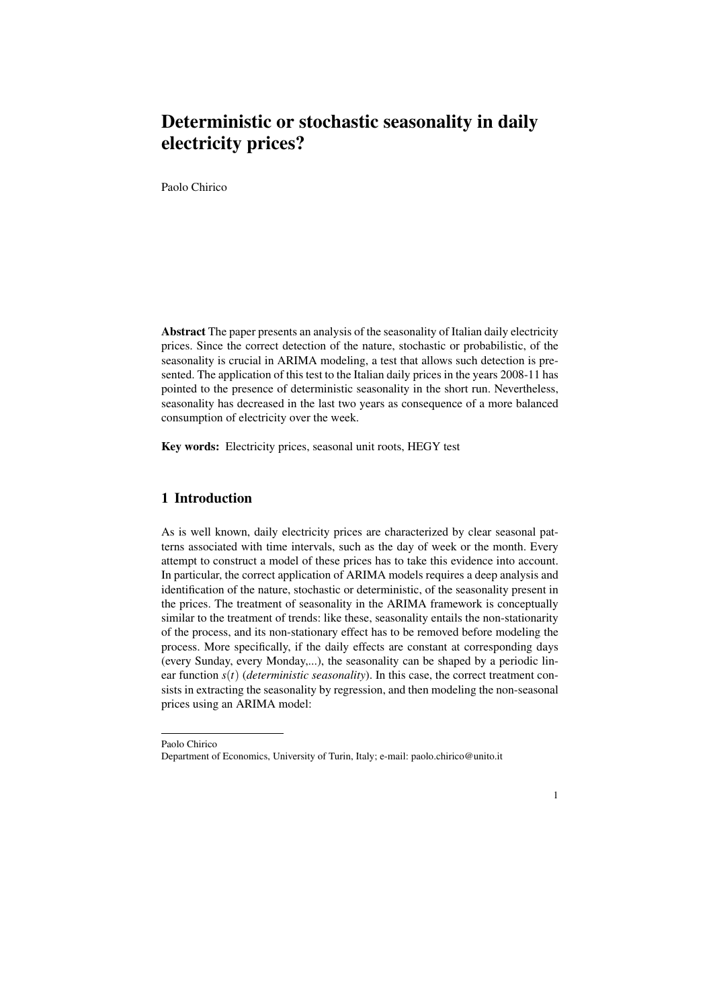# Deterministic or stochastic seasonality in daily electricity prices?

Paolo Chirico

Abstract The paper presents an analysis of the seasonality of Italian daily electricity prices. Since the correct detection of the nature, stochastic or probabilistic, of the seasonality is crucial in ARIMA modeling, a test that allows such detection is presented. The application of this test to the Italian daily prices in the years 2008-11 has pointed to the presence of deterministic seasonality in the short run. Nevertheless, seasonality has decreased in the last two years as consequence of a more balanced consumption of electricity over the week.

Key words: Electricity prices, seasonal unit roots, HEGY test

## 1 Introduction

As is well known, daily electricity prices are characterized by clear seasonal patterns associated with time intervals, such as the day of week or the month. Every attempt to construct a model of these prices has to take this evidence into account. In particular, the correct application of ARIMA models requires a deep analysis and identification of the nature, stochastic or deterministic, of the seasonality present in the prices. The treatment of seasonality in the ARIMA framework is conceptually similar to the treatment of trends: like these, seasonality entails the non-stationarity of the process, and its non-stationary effect has to be removed before modeling the process. More specifically, if the daily effects are constant at corresponding days (every Sunday, every Monday,...), the seasonality can be shaped by a periodic linear function *s*(*t*) (*deterministic seasonality*). In this case, the correct treatment consists in extracting the seasonality by regression, and then modeling the non-seasonal prices using an ARIMA model:



Paolo Chirico Department of Economics, University of Turin, Italy; e-mail: paolo.chirico@unito.it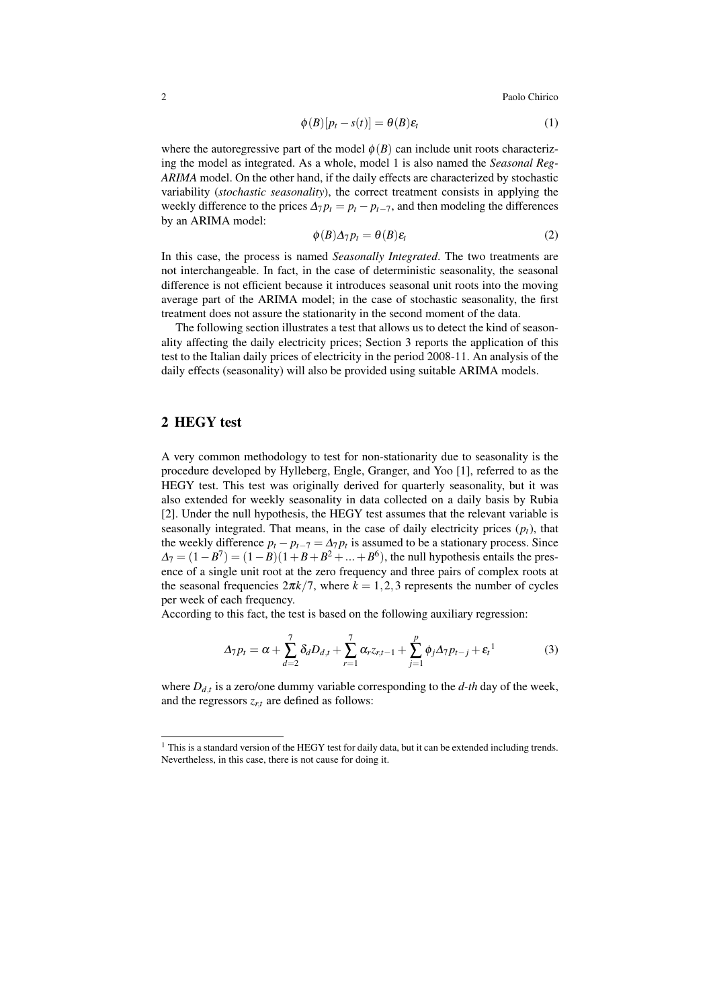2 Paolo Chirico Paolo Chirico Paolo Chirico Paolo Chirico Paolo Chirico Paolo Chirico Paolo Chirico Paolo Chirico Paolo Chirico Paolo Chirico Paolo Chirico Paolo Chirico Paolo Chirico Paolo Chirico Paolo Chirico Paolo Chir

$$
\phi(B)[p_t - s(t)] = \theta(B)\varepsilon_t \tag{1}
$$

where the autoregressive part of the model  $\phi(B)$  can include unit roots characterizing the model as integrated. As a whole, model 1 is also named the *Seasonal Reg-ARIMA* model. On the other hand, if the daily effects are characterized by stochastic variability (*stochastic seasonality*), the correct treatment consists in applying the weekly difference to the prices  $\Delta_7 p_t = p_t - p_{t-7}$ , and then modeling the differences by an ARIMA model:

$$
\phi(B)\Delta_7 p_t = \theta(B)\varepsilon_t \tag{2}
$$

In this case, the process is named *Seasonally Integrated*. The two treatments are not interchangeable. In fact, in the case of deterministic seasonality, the seasonal difference is not efficient because it introduces seasonal unit roots into the moving average part of the ARIMA model; in the case of stochastic seasonality, the first treatment does not assure the stationarity in the second moment of the data.

The following section illustrates a test that allows us to detect the kind of seasonality affecting the daily electricity prices; Section 3 reports the application of this test to the Italian daily prices of electricity in the period 2008-11. An analysis of the daily effects (seasonality) will also be provided using suitable ARIMA models.

#### 2 HEGY test

A very common methodology to test for non-stationarity due to seasonality is the procedure developed by Hylleberg, Engle, Granger, and Yoo [1], referred to as the HEGY test. This test was originally derived for quarterly seasonality, but it was also extended for weekly seasonality in data collected on a daily basis by Rubia [2]. Under the null hypothesis, the HEGY test assumes that the relevant variable is seasonally integrated. That means, in the case of daily electricity prices  $(p_t)$ , that the weekly difference  $p_t - p_{t-7} = \Delta_7 p_t$  is assumed to be a stationary process. Since  $\Delta_7 = (1 - B^7) = (1 - B)(1 + B + B^2 + ... + B^6)$ , the null hypothesis entails the presence of a single unit root at the zero frequency and three pairs of complex roots at the seasonal frequencies  $2\pi k/7$ , where  $k = 1, 2, 3$  represents the number of cycles per week of each frequency.

According to this fact, the test is based on the following auxiliary regression:

$$
\Delta_7 p_t = \alpha + \sum_{d=2}^7 \delta_d D_{d,t} + \sum_{r=1}^7 \alpha_r z_{r,t-1} + \sum_{j=1}^p \phi_j \Delta_7 p_{t-j} + \varepsilon_t^{-1}
$$
(3)

where  $D_{d,t}$  is a zero/one dummy variable corresponding to the  $d$ -th day of the week, and the regressors  $z_{rt}$  are defined as follows:

 $1$  This is a standard version of the HEGY test for daily data, but it can be extended including trends. Nevertheless, in this case, there is not cause for doing it.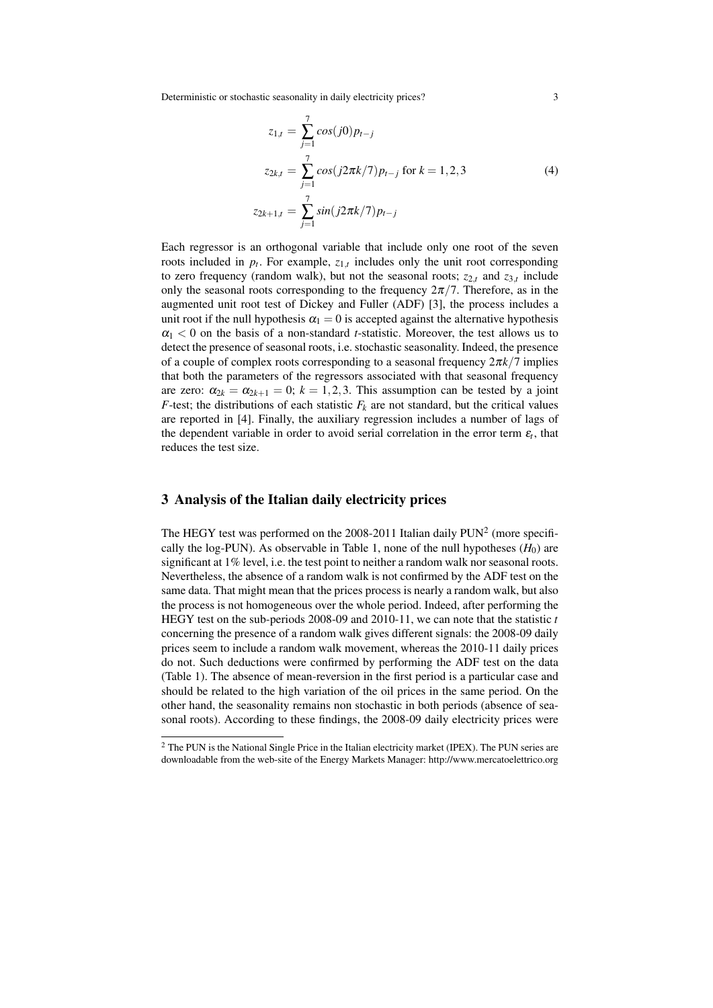Deterministic or stochastic seasonality in daily electricity prices? 3

$$
z_{1,t} = \sum_{j=1}^{7} \cos(j0) p_{t-j}
$$
  
\n
$$
z_{2k,t} = \sum_{j=1}^{7} \cos(j2\pi k/7) p_{t-j} \text{ for } k = 1, 2, 3
$$
  
\n
$$
z_{2k+1,t} = \sum_{j=1}^{7} \sin(j2\pi k/7) p_{t-j}
$$
\n(4)

Each regressor is an orthogonal variable that include only one root of the seven roots included in  $p_t$ . For example,  $z_{1,t}$  includes only the unit root corresponding to zero frequency (random walk), but not the seasonal roots;  $z_{2,t}$  and  $z_{3,t}$  include only the seasonal roots corresponding to the frequency  $2\pi/7$ . Therefore, as in the augmented unit root test of Dickey and Fuller (ADF) [3], the process includes a unit root if the null hypothesis  $\alpha_1 = 0$  is accepted against the alternative hypothesis  $\alpha_1 < 0$  on the basis of a non-standard *t*-statistic. Moreover, the test allows us to detect the presence of seasonal roots, i.e. stochastic seasonality. Indeed, the presence of a couple of complex roots corresponding to a seasonal frequency 2π*k/*7 implies that both the parameters of the regressors associated with that seasonal frequency are zero:  $\alpha_{2k} = \alpha_{2k+1} = 0$ ;  $k = 1, 2, 3$ . This assumption can be tested by a joint *F*-test; the distributions of each statistic  $F_k$  are not standard, but the critical values are reported in [4]. Finally, the auxiliary regression includes a number of lags of the dependent variable in order to avoid serial correlation in the error term  $\varepsilon_t$ , that reduces the test size.

#### 3 Analysis of the Italian daily electricity prices

The HEGY test was performed on the 2008-2011 Italian daily  $PUN^2$  (more specifically the log-PUN). As observable in Table 1, none of the null hypotheses  $(H_0)$  are significant at 1% level, i.e. the test point to neither a random walk nor seasonal roots. Nevertheless, the absence of a random walk is not confirmed by the ADF test on the same data. That might mean that the prices process is nearly a random walk, but also the process is not homogeneous over the whole period. Indeed, after performing the HEGY test on the sub-periods 2008-09 and 2010-11, we can note that the statistic *t* concerning the presence of a random walk gives different signals: the 2008-09 daily prices seem to include a random walk movement, whereas the 2010-11 daily prices do not. Such deductions were confirmed by performing the ADF test on the data (Table 1). The absence of mean-reversion in the first period is a particular case and should be related to the high variation of the oil prices in the same period. On the other hand, the seasonality remains non stochastic in both periods (absence of seasonal roots). According to these findings, the 2008-09 daily electricity prices were

<sup>&</sup>lt;sup>2</sup> The PUN is the National Single Price in the Italian electricity market (IPEX). The PUN series are downloadable from the web-site of the Energy Markets Manager: http://www.mercatoelettrico.org